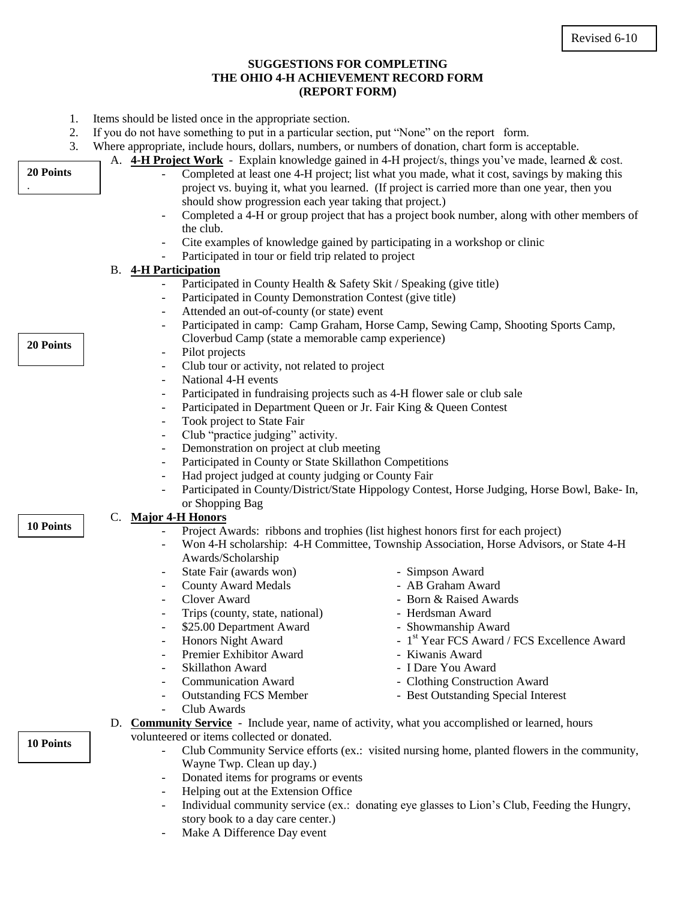## **SUGGESTIONS FOR COMPLETING THE OHIO 4-H ACHIEVEMENT RECORD FORM (REPORT FORM)**

- 1. Items should be listed once in the appropriate section.
- If you do not have something to put in a particular section, put "None" on the report form.

|                  | If you do not have something to put in a particular section, put trone for the report from.           |                                                                                                             |  |
|------------------|-------------------------------------------------------------------------------------------------------|-------------------------------------------------------------------------------------------------------------|--|
| 3.               |                                                                                                       | Where appropriate, include hours, dollars, numbers, or numbers of donation, chart form is acceptable.       |  |
|                  |                                                                                                       | A. <b>4-H Project Work</b> - Explain knowledge gained in 4-H project/s, things you've made, learned & cost. |  |
| 20 Points        |                                                                                                       | Completed at least one 4-H project; list what you made, what it cost, savings by making this                |  |
|                  |                                                                                                       | project vs. buying it, what you learned. (If project is carried more than one year, then you                |  |
|                  | should show progression each year taking that project.)                                               |                                                                                                             |  |
|                  |                                                                                                       | Completed a 4-H or group project that has a project book number, along with other members of                |  |
|                  | the club.                                                                                             |                                                                                                             |  |
|                  |                                                                                                       | Cite examples of knowledge gained by participating in a workshop or clinic                                  |  |
|                  | Participated in tour or field trip related to project                                                 |                                                                                                             |  |
|                  | <b>B.</b> 4-H Participation                                                                           |                                                                                                             |  |
|                  | Participated in County Health & Safety Skit / Speaking (give title)                                   |                                                                                                             |  |
|                  | Participated in County Demonstration Contest (give title)                                             |                                                                                                             |  |
|                  | Attended an out-of-county (or state) event                                                            |                                                                                                             |  |
|                  | Participated in camp: Camp Graham, Horse Camp, Sewing Camp, Shooting Sports Camp,                     |                                                                                                             |  |
| 20 Points        | Cloverbud Camp (state a memorable camp experience)                                                    |                                                                                                             |  |
|                  | Pilot projects<br>$\overline{\phantom{a}}$                                                            |                                                                                                             |  |
|                  | Club tour or activity, not related to project<br>$\overline{\phantom{a}}$                             |                                                                                                             |  |
|                  | National 4-H events<br>$\overline{\phantom{a}}$                                                       |                                                                                                             |  |
|                  | Participated in fundraising projects such as 4-H flower sale or club sale<br>$\overline{\phantom{a}}$ |                                                                                                             |  |
|                  | Participated in Department Queen or Jr. Fair King & Queen Contest                                     |                                                                                                             |  |
|                  | Took project to State Fair<br>$\overline{\phantom{a}}$                                                |                                                                                                             |  |
|                  | Club "practice judging" activity.<br>$\overline{\phantom{a}}$                                         |                                                                                                             |  |
|                  | Demonstration on project at club meeting<br>$\overline{\phantom{a}}$                                  |                                                                                                             |  |
|                  | Participated in County or State Skillathon Competitions<br>$\overline{\phantom{a}}$                   |                                                                                                             |  |
|                  | Had project judged at county judging or County Fair                                                   |                                                                                                             |  |
|                  |                                                                                                       | Participated in County/District/State Hippology Contest, Horse Judging, Horse Bowl, Bake- In,               |  |
|                  | or Shopping Bag                                                                                       |                                                                                                             |  |
|                  | C. Major 4-H Honors                                                                                   |                                                                                                             |  |
| <b>10 Points</b> |                                                                                                       | Project Awards: ribbons and trophies (list highest honors first for each project)                           |  |
|                  | $\overline{\phantom{a}}$                                                                              | Won 4-H scholarship: 4-H Committee, Township Association, Horse Advisors, or State 4-H                      |  |
|                  | Awards/Scholarship                                                                                    |                                                                                                             |  |
|                  | State Fair (awards won)<br>$\overline{\phantom{a}}$                                                   | - Simpson Award                                                                                             |  |
|                  | <b>County Award Medals</b><br>$\overline{\phantom{a}}$                                                | - AB Graham Award                                                                                           |  |
|                  | Clover Award<br>$\overline{\phantom{a}}$                                                              | - Born & Raised Awards                                                                                      |  |
|                  | Trips (county, state, national)<br>$\overline{\phantom{a}}$                                           | - Herdsman Award                                                                                            |  |
|                  | \$25.00 Department Award                                                                              | - Showmanship Award                                                                                         |  |
|                  | Honors Night Award                                                                                    | - 1 <sup>st</sup> Year FCS Award / FCS Excellence Award                                                     |  |
|                  | Premier Exhibitor Award                                                                               | - Kiwanis Award                                                                                             |  |
|                  | Skillathon Award                                                                                      | - I Dare You Award                                                                                          |  |
|                  | <b>Communication Award</b>                                                                            | - Clothing Construction Award                                                                               |  |
|                  | <b>Outstanding FCS Member</b>                                                                         | - Best Outstanding Special Interest                                                                         |  |
|                  | Club Awards                                                                                           |                                                                                                             |  |
|                  | D. Community Service - Include year, name of activity, what you accomplished or learned, hours        |                                                                                                             |  |
| <b>10 Points</b> | volunteered or items collected or donated.                                                            |                                                                                                             |  |
|                  |                                                                                                       | Club Community Service efforts (ex.: visited nursing home, planted flowers in the community,                |  |
|                  | Wayne Twp. Clean up day.)                                                                             |                                                                                                             |  |
|                  | Donated items for programs or events                                                                  |                                                                                                             |  |
|                  | Helping out at the Extension Office<br>$\overline{\phantom{a}}$                                       |                                                                                                             |  |

- Individual community service (ex.: donating eye glasses to Lion's Club, Feeding the Hungry, story book to a day care center.)
- Make A Difference Day event